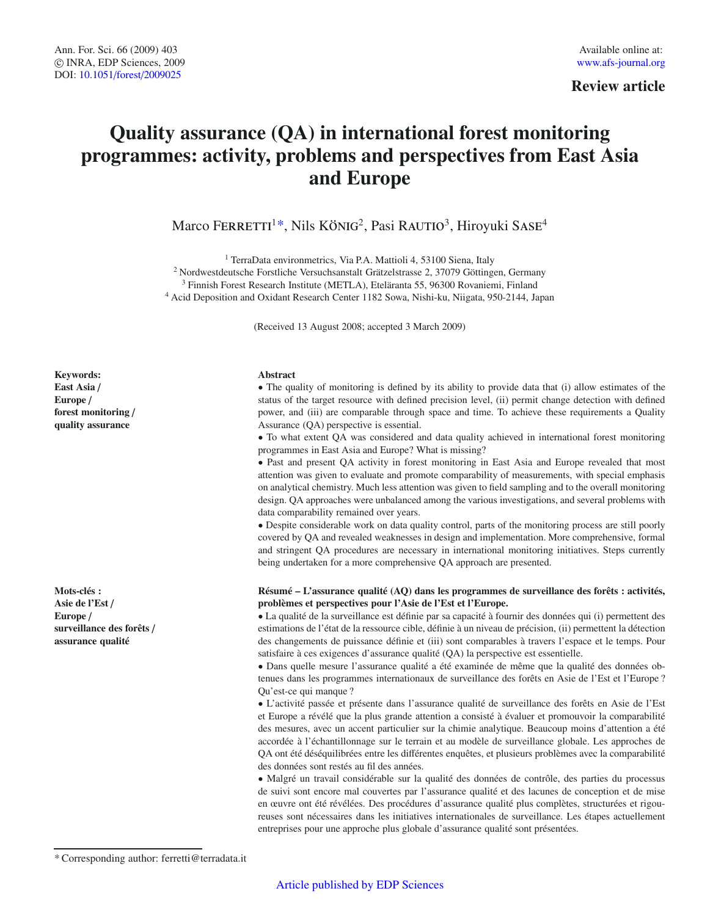**Review article**

# **Quality assurance (QA) in international forest monitoring programmes: activity, problems and perspectives from East Asia and Europe**

Marco FERRETTI<sup>1\*</sup>, Nils KÖNIG<sup>2</sup>, Pasi RAUTIO<sup>3</sup>, Hiroyuki SASE<sup>4</sup>

<sup>1</sup> TerraData environmetrics, Via P.A. Mattioli 4, 53100 Siena, Italy

<sup>2</sup> Nordwestdeutsche Forstliche Versuchsanstalt Grätzelstrasse 2, 37079 Göttingen, Germany

<sup>3</sup> Finnish Forest Research Institute (METLA), Eteläranta 55, 96300 Rovaniemi, Finland

<sup>4</sup> Acid Deposition and Oxidant Research Center 1182 Sowa, Nishi-ku, Niigata, 950-2144, Japan

(Received 13 August 2008; accepted 3 March 2009)

**Keywords: East Asia** / **Europe** / **forest monitoring** / **quality assurance**

**Mots-clés : Asie de l'Est** / **Europe** / **surveillance des forêts** / **assurance qualité**

#### **Abstract**

• The quality of monitoring is defined by its ability to provide data that (i) allow estimates of the status of the target resource with defined precision level, (ii) permit change detection with defined power, and (iii) are comparable through space and time. To achieve these requirements a Quality Assurance (QA) perspective is essential.

• To what extent QA was considered and data quality achieved in international forest monitoring programmes in East Asia and Europe? What is missing?

• Past and present QA activity in forest monitoring in East Asia and Europe revealed that most attention was given to evaluate and promote comparability of measurements, with special emphasis on analytical chemistry. Much less attention was given to field sampling and to the overall monitoring design. QA approaches were unbalanced among the various investigations, and several problems with data comparability remained over years.

• Despite considerable work on data quality control, parts of the monitoring process are still poorly covered by QA and revealed weaknesses in design and implementation. More comprehensive, formal and stringent QA procedures are necessary in international monitoring initiatives. Steps currently being undertaken for a more comprehensive QA approach are presented.

## **Résumé – L'assurance qualité (AQ) dans les programmes de surveillance des forêts : activités, problèmes et perspectives pour l'Asie de l'Est et l'Europe.**

• La qualité de la surveillance est définie par sa capacité à fournir des données qui (i) permettent des estimations de l'état de la ressource cible, définie à un niveau de précision, (ii) permettent la détection des changements de puissance définie et (iii) sont comparables à travers l'espace et le temps. Pour satisfaire à ces exigences d'assurance qualité (QA) la perspective est essentielle.

• Dans quelle mesure l'assurance qualité a été examinée de même que la qualité des données obtenues dans les programmes internationaux de surveillance des forêts en Asie de l'Est et l'Europe ? Qu'est-ce qui manque ?

• L'activité passée et présente dans l'assurance qualité de surveillance des forêts en Asie de l'Est et Europe a révélé que la plus grande attention a consisté à évaluer et promouvoir la comparabilité des mesures, avec un accent particulier sur la chimie analytique. Beaucoup moins d'attention a été accordée à l'échantillonnage sur le terrain et au modèle de surveillance globale. Les approches de QA ont été déséquilibrées entre les différentes enquêtes, et plusieurs problèmes avec la comparabilité des données sont restés au fil des années.

• Malgré un travail considérable sur la qualité des données de contrôle, des parties du processus de suivi sont encore mal couvertes par l'assurance qualité et des lacunes de conception et de mise en œuvre ont été révélées. Des procédures d'assurance qualité plus complètes, structurées et rigoureuses sont nécessaires dans les initiatives internationales de surveillance. Les étapes actuellement entreprises pour une approche plus globale d'assurance qualité sont présentées.

<sup>\*</sup> Corresponding author: ferretti@terradata.it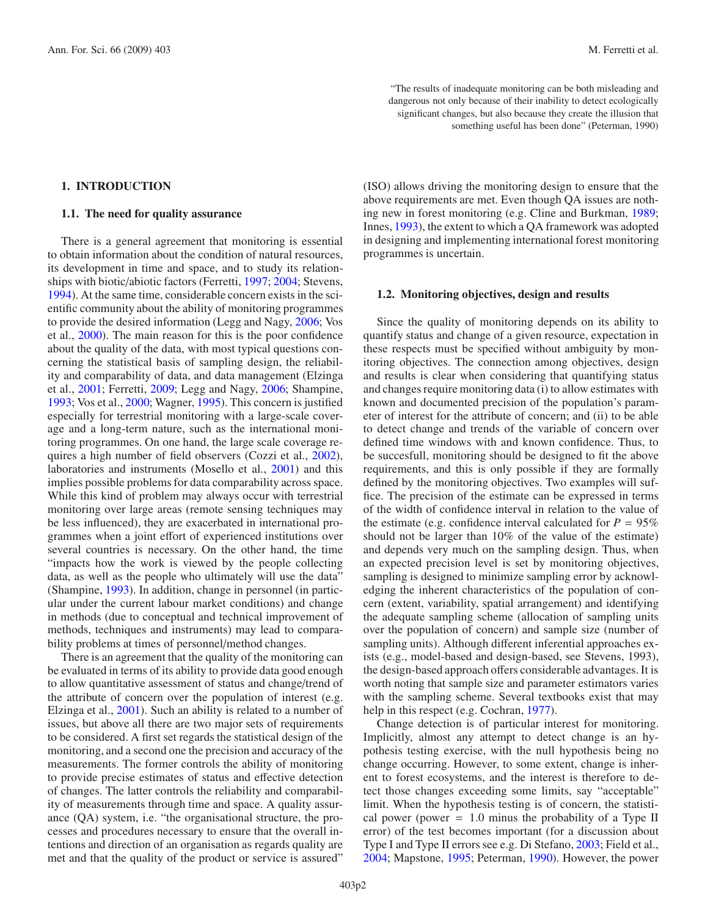"The results of inadequate monitoring can be both misleading and dangerous not only because of their inability to detect ecologically significant changes, but also because they create the illusion that something useful has been done" (Peterman, 1990)

# **1. INTRODUCTION**

## **1.1. The need for quality assurance**

There is a general agreement that monitoring is essential to obtain information about the condition of natural resources, its development in time and space, and to study its relationships with biotic/abiotic factors (Ferretti, [1997;](#page-10-0) [2004;](#page-10-1) Stevens, [1994\)](#page-11-0). At the same time, considerable concern exists in the scientific community about the ability of monitoring programmes to provide the desired information (Legg and Nagy, [2006;](#page-11-1) Vos et al., [2000](#page-11-2)). The main reason for this is the poor confidence about the quality of the data, with most typical questions concerning the statistical basis of sampling design, the reliability and comparability of data, and data management (Elzinga et al., [2001](#page-10-2); Ferretti, [2009;](#page-10-3) Legg and Nagy, [2006](#page-11-1); Shampine, [1993;](#page-11-3) Vos et al., [2000;](#page-11-2) Wagner, [1995\)](#page-11-4). This concern is justified especially for terrestrial monitoring with a large-scale coverage and a long-term nature, such as the international monitoring programmes. On one hand, the large scale coverage requires a high number of field observers (Cozzi et al., [2002\)](#page-10-4), laboratories and instruments (Mosello et al., [2001\)](#page-11-5) and this implies possible problems for data comparability across space. While this kind of problem may always occur with terrestrial monitoring over large areas (remote sensing techniques may be less influenced), they are exacerbated in international programmes when a joint effort of experienced institutions over several countries is necessary. On the other hand, the time "impacts how the work is viewed by the people collecting data, as well as the people who ultimately will use the data" (Shampine, [1993\)](#page-11-3). In addition, change in personnel (in particular under the current labour market conditions) and change in methods (due to conceptual and technical improvement of methods, techniques and instruments) may lead to comparability problems at times of personnel/method changes.

There is an agreement that the quality of the monitoring can be evaluated in terms of its ability to provide data good enough to allow quantitative assessment of status and change/trend of the attribute of concern over the population of interest (e.g. Elzinga et al., [2001\)](#page-10-2). Such an ability is related to a number of issues, but above all there are two major sets of requirements to be considered. A first set regards the statistical design of the monitoring, and a second one the precision and accuracy of the measurements. The former controls the ability of monitoring to provide precise estimates of status and effective detection of changes. The latter controls the reliability and comparability of measurements through time and space. A quality assurance (QA) system, i.e. "the organisational structure, the processes and procedures necessary to ensure that the overall intentions and direction of an organisation as regards quality are met and that the quality of the product or service is assured"

(ISO) allows driving the monitoring design to ensure that the above requirements are met. Even though QA issues are nothing new in forest monitoring (e.g. Cline and Burkman, [1989;](#page-10-5) Innes, [1993\)](#page-10-6), the extent to which a QA framework was adopted in designing and implementing international forest monitoring programmes is uncertain.

#### **1.2. Monitoring objectives, design and results**

Since the quality of monitoring depends on its ability to quantify status and change of a given resource, expectation in these respects must be specified without ambiguity by monitoring objectives. The connection among objectives, design and results is clear when considering that quantifying status and changes require monitoring data (i) to allow estimates with known and documented precision of the population's parameter of interest for the attribute of concern; and (ii) to be able to detect change and trends of the variable of concern over defined time windows with and known confidence. Thus, to be succesfull, monitoring should be designed to fit the above requirements, and this is only possible if they are formally defined by the monitoring objectives. Two examples will suffice. The precision of the estimate can be expressed in terms of the width of confidence interval in relation to the value of the estimate (e.g. confidence interval calculated for  $P = 95\%$ should not be larger than 10% of the value of the estimate) and depends very much on the sampling design. Thus, when an expected precision level is set by monitoring objectives, sampling is designed to minimize sampling error by acknowledging the inherent characteristics of the population of concern (extent, variability, spatial arrangement) and identifying the adequate sampling scheme (allocation of sampling units over the population of concern) and sample size (number of sampling units). Although different inferential approaches exists (e.g., model-based and design-based, see Stevens, 1993), the design-based approach offers considerable advantages. It is worth noting that sample size and parameter estimators varies with the sampling scheme. Several textbooks exist that may help in this respect (e.g. Cochran, [1977\)](#page-10-7).

Change detection is of particular interest for monitoring. Implicitly, almost any attempt to detect change is an hypothesis testing exercise, with the null hypothesis being no change occurring. However, to some extent, change is inherent to forest ecosystems, and the interest is therefore to detect those changes exceeding some limits, say "acceptable" limit. When the hypothesis testing is of concern, the statistical power (power  $= 1.0$  minus the probability of a Type II error) of the test becomes important (for a discussion about Type I and Type II errors see e.g. Di Stefano, [2003](#page-10-8); Field et al., [2004;](#page-10-9) Mapstone, [1995](#page-11-6); Peterman, [1990\)](#page-11-7). However, the power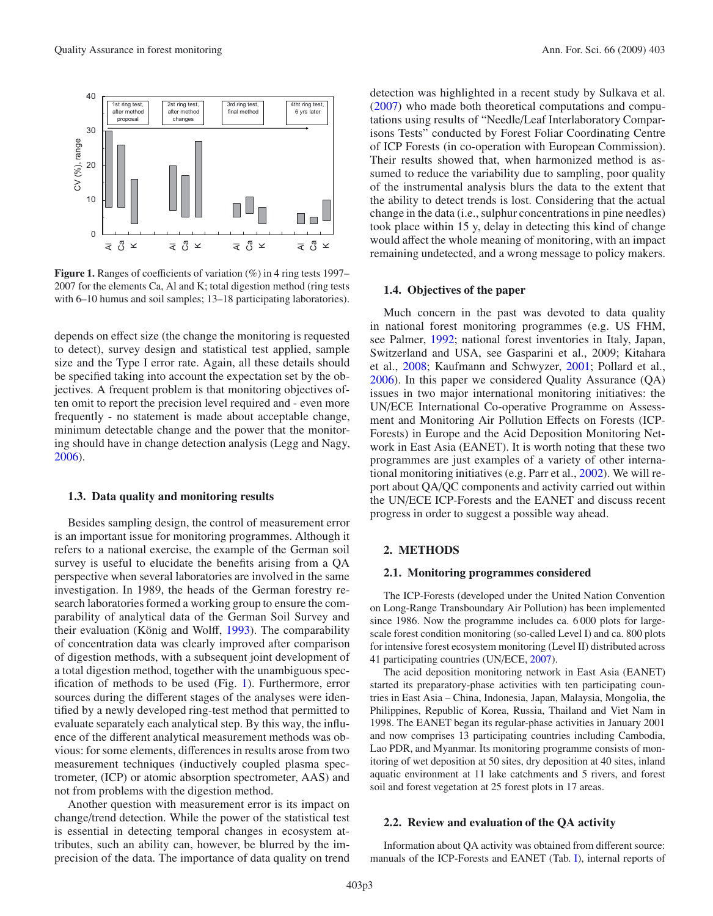<span id="page-2-0"></span>

**Figure 1.** Ranges of coefficients of variation (%) in 4 ring tests 1997– 2007 for the elements Ca, Al and K; total digestion method (ring tests with 6–10 humus and soil samples; 13–18 participating laboratories).

depends on effect size (the change the monitoring is requested to detect), survey design and statistical test applied, sample size and the Type I error rate. Again, all these details should be specified taking into account the expectation set by the objectives. A frequent problem is that monitoring objectives often omit to report the precision level required and - even more frequently - no statement is made about acceptable change, minimum detectable change and the power that the monitoring should have in change detection analysis (Legg and Nagy, [2006\)](#page-11-1).

#### **1.3. Data quality and monitoring results**

Besides sampling design, the control of measurement error is an important issue for monitoring programmes. Although it refers to a national exercise, the example of the German soil survey is useful to elucidate the benefits arising from a QA perspective when several laboratories are involved in the same investigation. In 1989, the heads of the German forestry research laboratories formed a working group to ensure the comparability of analytical data of the German Soil Survey and their evaluation (König and Wolff, [1993\)](#page-11-8). The comparability of concentration data was clearly improved after comparison of digestion methods, with a subsequent joint development of a total digestion method, together with the unambiguous specification of methods to be used (Fig. [1\)](#page-2-0). Furthermore, error sources during the different stages of the analyses were identified by a newly developed ring-test method that permitted to evaluate separately each analytical step. By this way, the influence of the different analytical measurement methods was obvious: for some elements, differences in results arose from two measurement techniques (inductively coupled plasma spectrometer, (ICP) or atomic absorption spectrometer, AAS) and not from problems with the digestion method.

Another question with measurement error is its impact on change/trend detection. While the power of the statistical test is essential in detecting temporal changes in ecosystem attributes, such an ability can, however, be blurred by the imprecision of the data. The importance of data quality on trend

detection was highlighted in a recent study by Sulkava et al. [\(2007\)](#page-11-9) who made both theoretical computations and computations using results of "Needle/Leaf Interlaboratory Comparisons Tests" conducted by Forest Foliar Coordinating Centre of ICP Forests (in co-operation with European Commission). Their results showed that, when harmonized method is assumed to reduce the variability due to sampling, poor quality of the instrumental analysis blurs the data to the extent that the ability to detect trends is lost. Considering that the actual change in the data (i.e., sulphur concentrations in pine needles) took place within 15 y, delay in detecting this kind of change would affect the whole meaning of monitoring, with an impact remaining undetected, and a wrong message to policy makers.

#### **1.4. Objectives of the paper**

Much concern in the past was devoted to data quality in national forest monitoring programmes (e.g. US FHM, see Palmer, [1992;](#page-11-10) national forest inventories in Italy, Japan, Switzerland and USA, see Gasparini et al., 2009; Kitahara et al., [2008;](#page-11-11) Kaufmann and Schwyzer, [2001;](#page-11-12) Pollard et al., [2006\)](#page-11-13). In this paper we considered Quality Assurance (QA) issues in two major international monitoring initiatives: the UN/ECE International Co-operative Programme on Assessment and Monitoring Air Pollution Effects on Forests (ICP-Forests) in Europe and the Acid Deposition Monitoring Network in East Asia (EANET). It is worth noting that these two programmes are just examples of a variety of other international monitoring initiatives (e.g. Parr et al., [2002\)](#page-11-14). We will report about QA/QC components and activity carried out within the UN/ECE ICP-Forests and the EANET and discuss recent progress in order to suggest a possible way ahead.

# **2. METHODS**

## **2.1. Monitoring programmes considered**

The ICP-Forests (developed under the United Nation Convention on Long-Range Transboundary Air Pollution) has been implemented since 1986. Now the programme includes ca. 6 000 plots for largescale forest condition monitoring (so-called Level I) and ca. 800 plots for intensive forest ecosystem monitoring (Level II) distributed across 41 participating countries (UN/ECE, [2007](#page-11-15)).

The acid deposition monitoring network in East Asia (EANET) started its preparatory-phase activities with ten participating countries in East Asia – China, Indonesia, Japan, Malaysia, Mongolia, the Philippines, Republic of Korea, Russia, Thailand and Viet Nam in 1998. The EANET began its regular-phase activities in January 2001 and now comprises 13 participating countries including Cambodia, Lao PDR, and Myanmar. Its monitoring programme consists of monitoring of wet deposition at 50 sites, dry deposition at 40 sites, inland aquatic environment at 11 lake catchments and 5 rivers, and forest soil and forest vegetation at 25 forest plots in 17 areas.

#### **2.2. Review and evaluation of the QA activity**

Information about QA activity was obtained from different source: manuals of the ICP-Forests and EANET (Tab. [I\)](#page-3-0), internal reports of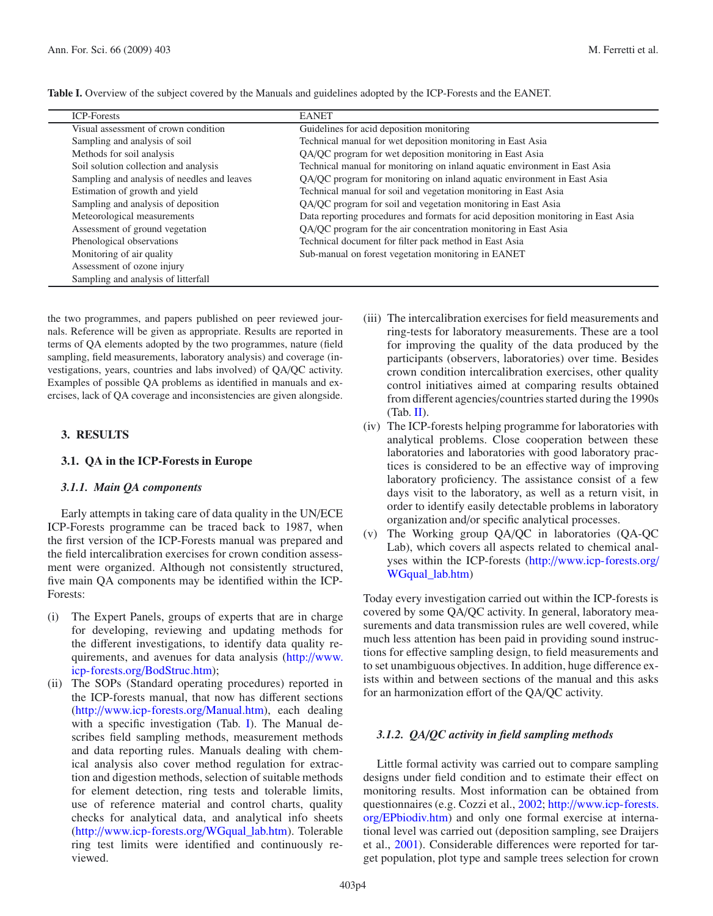| <b>ICP-Forests</b>                          | <b>EANET</b>                                                                      |
|---------------------------------------------|-----------------------------------------------------------------------------------|
| Visual assessment of crown condition        | Guidelines for acid deposition monitoring                                         |
| Sampling and analysis of soil               | Technical manual for wet deposition monitoring in East Asia                       |
| Methods for soil analysis                   | QA/QC program for wet deposition monitoring in East Asia                          |
| Soil solution collection and analysis       | Technical manual for monitoring on inland aquatic environment in East Asia        |
| Sampling and analysis of needles and leaves | QA/QC program for monitoring on inland aquatic environment in East Asia           |
| Estimation of growth and yield              | Technical manual for soil and vegetation monitoring in East Asia                  |
| Sampling and analysis of deposition         | QA/QC program for soil and vegetation monitoring in East Asia                     |
| Meteorological measurements                 | Data reporting procedures and formats for acid deposition monitoring in East Asia |
| Assessment of ground vegetation             | OA/OC program for the air concentration monitoring in East Asia                   |
| Phenological observations                   | Technical document for filter pack method in East Asia                            |
| Monitoring of air quality                   | Sub-manual on forest vegetation monitoring in EANET                               |
| Assessment of ozone injury                  |                                                                                   |
| Sampling and analysis of litterfall         |                                                                                   |

<span id="page-3-0"></span>**Table I.** Overview of the subject covered by the Manuals and guidelines adopted by the ICP-Forests and the EANET.

the two programmes, and papers published on peer reviewed journals. Reference will be given as appropriate. Results are reported in terms of QA elements adopted by the two programmes, nature (field sampling, field measurements, laboratory analysis) and coverage (investigations, years, countries and labs involved) of QA/QC activity. Examples of possible QA problems as identified in manuals and exercises, lack of QA coverage and inconsistencies are given alongside.

# **3. RESULTS**

# **3.1. QA in the ICP-Forests in Europe**

## *3.1.1. Main QA components*

Early attempts in taking care of data quality in the UN/ECE ICP-Forests programme can be traced back to 1987, when the first version of the ICP-Forests manual was prepared and the field intercalibration exercises for crown condition assessment were organized. Although not consistently structured, five main QA components may be identified within the ICP-Forests:

- (i) The Expert Panels, groups of experts that are in charge for developing, reviewing and updating methods for the different investigations, to identify data quality requirements, and avenues for data analysis (http://[www.](http://www.icp-forests.org/BodStruc.htm) [icp-forests.org](http://www.icp-forests.org/BodStruc.htm)/BodStruc.htm);
- (ii) The SOPs (Standard operating procedures) reported in the ICP-forests manual, that now has different sections (http://[www.icp-forests.org](http://www.icp-forests.org/Manual.htm)/Manual.htm), each dealing with a specific investigation (Tab. [I\)](#page-3-0). The Manual describes field sampling methods, measurement methods and data reporting rules. Manuals dealing with chemical analysis also cover method regulation for extraction and digestion methods, selection of suitable methods for element detection, ring tests and tolerable limits, use of reference material and control charts, quality checks for analytical data, and analytical info sheets (http://[www.icp-forests.org](http://www.icp-forests.org/WGqual_lab.htm)/WGqual\_lab.htm). Tolerable ring test limits were identified and continuously reviewed.
- (iii) The intercalibration exercises for field measurements and ring-tests for laboratory measurements. These are a tool for improving the quality of the data produced by the participants (observers, laboratories) over time. Besides crown condition intercalibration exercises, other quality control initiatives aimed at comparing results obtained from different agencies/countries started during the 1990s  $(Tab. II)$  $(Tab. II)$ .
- (iv) The ICP-forests helping programme for laboratories with analytical problems. Close cooperation between these laboratories and laboratories with good laboratory practices is considered to be an effective way of improving laboratory proficiency. The assistance consist of a few days visit to the laboratory, as well as a return visit, in order to identify easily detectable problems in laboratory organization and/or specific analytical processes.
- (v) The Working group QA/QC in laboratories (QA-QC Lab), which covers all aspects related to chemical analyses within the ICP-forests (http://[www.icp-forests.org](http://www.icp-forests.org/WGqual_lab.htm)/ [WGqual\\_lab.htm\)](http://www.icp-forests.org/WGqual_lab.htm)

Today every investigation carried out within the ICP-forests is covered by some QA/QC activity. In general, laboratory measurements and data transmission rules are well covered, while much less attention has been paid in providing sound instructions for effective sampling design, to field measurements and to set unambiguous objectives. In addition, huge difference exists within and between sections of the manual and this asks for an harmonization effort of the QA/QC activity.

## *3.1.2. QA*/*QC activity in field sampling methods*

Little formal activity was carried out to compare sampling designs under field condition and to estimate their effect on monitoring results. Most information can be obtained from questionnaires (e.g. Cozzi et al., [2002;](#page-10-4) http://[www.icp-forests.](http://www.icp-forests.org/EPbiodiv.htm) org/[EPbiodiv.htm\)](http://www.icp-forests.org/EPbiodiv.htm) and only one formal exercise at international level was carried out (deposition sampling, see Draijers et al., [2001\)](#page-10-10). Considerable differences were reported for target population, plot type and sample trees selection for crown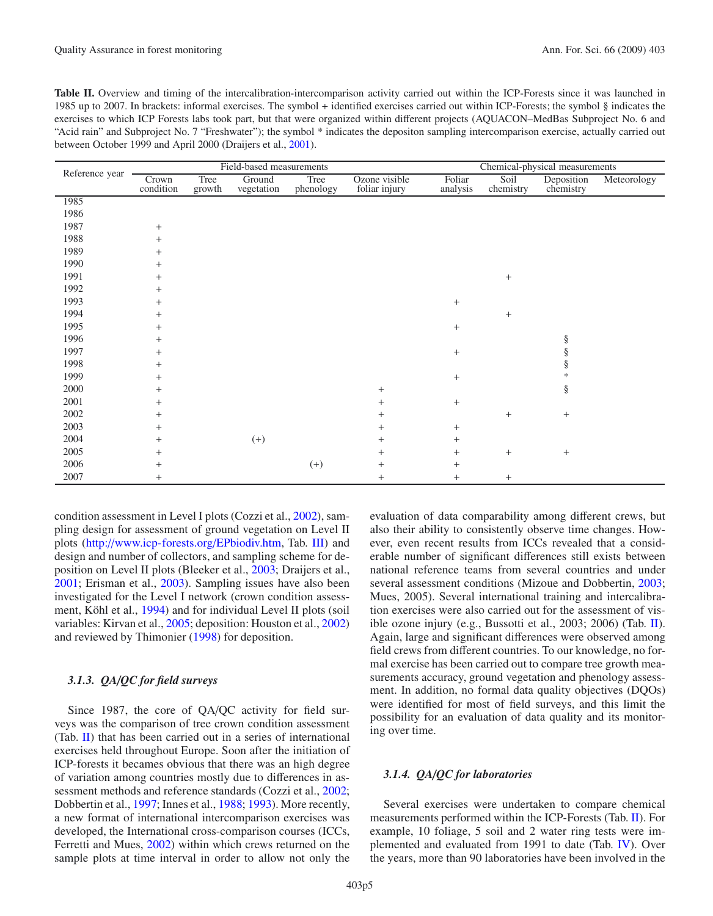<span id="page-4-0"></span>

| <b>Table II.</b> Overview and timing of the intercalibration-intercomparison activity carried out within the ICP-Forests since it was launched in |
|---------------------------------------------------------------------------------------------------------------------------------------------------|
| 1985 up to 2007. In brackets: informal exercises. The symbol + identified exercises carried out within ICP-Forests; the symbol § indicates the    |
| exercises to which ICP Forests labs took part, but that were organized within different projects (AQUACON–MedBas Subproject No. 6 and             |
| "Acid rain" and Subproject No. 7 "Freshwater"); the symbol * indicates the depositon sampling intercomparison exercise, actually carried out      |
| between October 1999 and April 2000 (Draijers et al., 2001).                                                                                      |

|                |                    |                | Field-based measurements |                   | Chemical-physical measurements |                    |                   |                         |             |
|----------------|--------------------|----------------|--------------------------|-------------------|--------------------------------|--------------------|-------------------|-------------------------|-------------|
| Reference year | Crown<br>condition | Tree<br>growth | Ground<br>vegetation     | Tree<br>phenology | Ozone visible<br>foliar injury | Foliar<br>analysis | Soil<br>chemistry | Deposition<br>chemistry | Meteorology |
| 1985           |                    |                |                          |                   |                                |                    |                   |                         |             |
| 1986           |                    |                |                          |                   |                                |                    |                   |                         |             |
| 1987           | $^{+}$             |                |                          |                   |                                |                    |                   |                         |             |
| 1988           | $+$                |                |                          |                   |                                |                    |                   |                         |             |
| 1989           | $^{+}$             |                |                          |                   |                                |                    |                   |                         |             |
| 1990           | $+$                |                |                          |                   |                                |                    |                   |                         |             |
| 1991           | $+$                |                |                          |                   |                                |                    | $\! + \!\!\!\!$   |                         |             |
| 1992           | $^{+}$             |                |                          |                   |                                |                    |                   |                         |             |
| 1993           | $^{+}$             |                |                          |                   |                                | $+$                |                   |                         |             |
| 1994           | $^{+}$             |                |                          |                   |                                |                    | $+$               |                         |             |
| 1995           | $^{+}$             |                |                          |                   |                                | $+$                |                   |                         |             |
| 1996           | $^{+}$             |                |                          |                   |                                |                    |                   | §                       |             |
| 1997           | $^{+}$             |                |                          |                   |                                | $+$                |                   | $\S$                    |             |
| 1998           | $^{+}$             |                |                          |                   |                                |                    |                   | $\S$                    |             |
| 1999           | $+$                |                |                          |                   |                                | $+$                |                   | $\ast$                  |             |
| 2000           | $+$                |                |                          |                   | $^{+}$                         |                    |                   | $\S$                    |             |
| 2001           | $^{+}$             |                |                          |                   | $^{+}$                         | $+$                |                   |                         |             |
| 2002           | $^{+}$             |                |                          |                   | $^{+}$                         |                    | $^{+}$            | $+$                     |             |
| 2003           | $^{+}$             |                |                          |                   | $^{+}$                         | $^{+}$             |                   |                         |             |
| 2004           | $^{+}$             |                | $(+)$                    |                   | $^{+}$                         | $^{+}$             |                   |                         |             |
| 2005           | $^{+}$             |                |                          |                   | $^{+}$                         | $^{+}$             | $^{+}$            | $^{+}$                  |             |
| 2006           | $^{+}$             |                |                          | $(+)$             | $^{+}$                         | $^{+}$             |                   |                         |             |
| 2007           | $^{+}$             |                |                          |                   | $^{+}$                         | $^{+}$             | $^{+}$            |                         |             |

condition assessment in Level I plots (Cozzi et al., [2002\)](#page-10-4), sampling design for assessment of ground vegetation on Level II plots (http://[www.icp-forests.org](http://www.icp-forests.org/EPbiodiv.htm)/EPbiodiv.htm, Tab. [III\)](#page-5-0) and design and number of collectors, and sampling scheme for deposition on Level II plots (Bleeker et al., [2003;](#page-10-11) Draijers et al., [2001;](#page-10-10) Erisman et al., [2003](#page-10-12)). Sampling issues have also been investigated for the Level I network (crown condition assessment, Köhl et al., [1994\)](#page-11-16) and for individual Level II plots (soil variables: Kirvan et al., [2005;](#page-11-17) deposition: Houston et al., [2002\)](#page-10-13) and reviewed by Thimonier [\(1998](#page-11-18)) for deposition.

# *3.1.3. QA*/*QC for field surveys*

Since 1987, the core of QA/QC activity for field surveys was the comparison of tree crown condition assessment (Tab. [II\)](#page-4-0) that has been carried out in a series of international exercises held throughout Europe. Soon after the initiation of ICP-forests it becames obvious that there was an high degree of variation among countries mostly due to differences in as-sessment methods and reference standards (Cozzi et al., [2002;](#page-10-4) Dobbertin et al., [1997;](#page-10-14) Innes et al., [1988](#page-10-15); [1993\)](#page-10-6). More recently, a new format of international intercomparison exercises was developed, the International cross-comparison courses (ICCs, Ferretti and Mues, [2002\)](#page-10-16) within which crews returned on the sample plots at time interval in order to allow not only the evaluation of data comparability among different crews, but also their ability to consistently observe time changes. However, even recent results from ICCs revealed that a considerable number of significant differences still exists between national reference teams from several countries and under several assessment conditions (Mizoue and Dobbertin, [2003;](#page-11-19) Mues, 2005). Several international training and intercalibration exercises were also carried out for the assessment of visible ozone injury (e.g., Bussotti et al., 2003; 2006) (Tab. [II\)](#page-4-0). Again, large and significant differences were observed among field crews from different countries. To our knowledge, no formal exercise has been carried out to compare tree growth measurements accuracy, ground vegetation and phenology assessment. In addition, no formal data quality objectives (DQOs) were identified for most of field surveys, and this limit the possibility for an evaluation of data quality and its monitoring over time.

## *3.1.4. QA*/*QC for laboratories*

Several exercises were undertaken to compare chemical measurements performed within the ICP-Forests (Tab. [II\)](#page-4-0). For example, 10 foliage, 5 soil and 2 water ring tests were implemented and evaluated from 1991 to date (Tab. [IV\)](#page-5-1). Over the years, more than 90 laboratories have been involved in the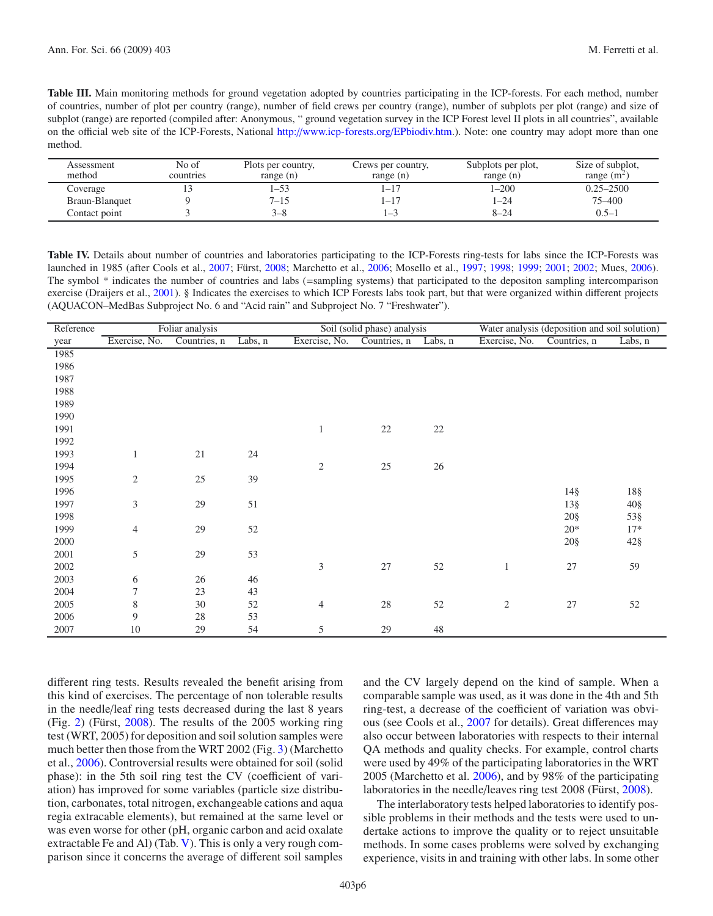<span id="page-5-1"></span><span id="page-5-0"></span>

| Table III. Main monitoring methods for ground vegetation adopted by countries participating in the ICP-forests. For each method, number          |
|--------------------------------------------------------------------------------------------------------------------------------------------------|
| of countries, number of plot per country (range), number of field crews per country (range), number of subplots per plot (range) and size of     |
| subplot (range) are reported (compiled after: Anonymous, "ground vegetation survey in the ICP Forest level II plots in all countries", available |
| on the official web site of the ICP-Forests, National http://www.icp-forests.org/EPbiodiv.htm.). Note: one country may adopt more than one       |
| method.                                                                                                                                          |

| Assessment<br>method | No of<br>countries | Plots per country,<br>range $(n)$ | Crews per country,<br>range $(n)$ | Subplots per plot,<br>range $(n)$ | Size of subplot,<br>range $(m^2)$ |
|----------------------|--------------------|-----------------------------------|-----------------------------------|-----------------------------------|-----------------------------------|
| Coverage             |                    | $-53$                             | l-17                              | $1 - 200$                         | $0.25 - 2500$                     |
| Braun-Blanquet       |                    | $7 - 15$                          | $\overline{1}$<br>$-1$ ,          | $-24$                             | 75-400                            |
| Contact point        |                    | 3–8                               | ر—ا                               | $8 - 24$                          | $0.5 - 1$                         |

Table IV. Details about number of countries and laboratories participating to the ICP-Forests ring-tests for labs since the ICP-Forests was launched in 1985 (after Cools et al., [2007](#page-10-17); Fürst, [2008](#page-10-18); Marchetto et al., [2006](#page-11-20); Mosello et al., [1997](#page-11-21); [1998;](#page-11-22) [1999](#page-11-23); [2001](#page-11-5); [2002](#page-11-24); Mues, [2006\)](#page-11-25). The symbol \* indicates the number of countries and labs (=sampling systems) that participated to the depositon sampling intercomparison exercise (Draijers et al., [2001\)](#page-10-10). § Indicates the exercises to which ICP Forests labs took part, but that were organized within different projects (AQUACON–MedBas Subproject No. 6 and "Acid rain" and Subproject No. 7 "Freshwater").

| Reference |                | Foliar analysis |         | Soil (solid phase) analysis | Water analysis (deposition and soil solution) |         |               |              |         |
|-----------|----------------|-----------------|---------|-----------------------------|-----------------------------------------------|---------|---------------|--------------|---------|
| year      | Exercise, No.  | Countries, n    | Labs, n | Exercise, No.               | Countries, n                                  | Labs, n | Exercise, No. | Countries, n | Labs, n |
| 1985      |                |                 |         |                             |                                               |         |               |              |         |
| 1986      |                |                 |         |                             |                                               |         |               |              |         |
| 1987      |                |                 |         |                             |                                               |         |               |              |         |
| 1988      |                |                 |         |                             |                                               |         |               |              |         |
| 1989      |                |                 |         |                             |                                               |         |               |              |         |
| 1990      |                |                 |         |                             |                                               |         |               |              |         |
| 1991      |                |                 |         | 1                           | $22\,$                                        | 22      |               |              |         |
| 1992      |                |                 |         |                             |                                               |         |               |              |         |
| 1993      | $\mathbf{1}$   | 21              | 24      |                             |                                               |         |               |              |         |
| 1994      |                |                 |         | 2                           | 25                                            | 26      |               |              |         |
| 1995      | 2              | 25              | 39      |                             |                                               |         |               |              |         |
| 1996      |                |                 |         |                             |                                               |         |               | $14\$        | 18§     |
| 1997      | 3              | 29              | 51      |                             |                                               |         |               | $13\$        | $40\S$  |
| 1998      |                |                 |         |                             |                                               |         |               | $20\S$       | 53§     |
| 1999      | $\overline{4}$ | 29              | 52      |                             |                                               |         |               | $20*$        | $17*$   |
| 2000      |                |                 |         |                             |                                               |         |               | $20\$        | 42§     |
| 2001      | 5              | 29              | 53      |                             |                                               |         |               |              |         |
| 2002      |                |                 |         | 3                           | 27                                            | 52      | $\mathbf{1}$  | 27           | 59      |
| 2003      | 6              | 26              | 46      |                             |                                               |         |               |              |         |
| 2004      | $\tau$         | 23              | 43      |                             |                                               |         |               |              |         |
| 2005      | $\,$ 8 $\,$    | 30              | 52      | $\overline{4}$              | $28\,$                                        | 52      | $\sqrt{2}$    | 27           | 52      |
| 2006      | $\overline{9}$ | 28              | 53      |                             |                                               |         |               |              |         |
| 2007      | 10             | 29              | 54      | 5                           | 29                                            | 48      |               |              |         |

different ring tests. Results revealed the benefit arising from this kind of exercises. The percentage of non tolerable results in the needle/leaf ring tests decreased during the last 8 years (Fig. [2\)](#page-6-0) (Fürst, [2008](#page-10-18)). The results of the 2005 working ring test (WRT, 2005) for deposition and soil solution samples were much better then those from the WRT 2002 (Fig. [3\)](#page-6-1) (Marchetto et al., [2006\)](#page-11-20). Controversial results were obtained for soil (solid phase): in the 5th soil ring test the CV (coefficient of variation) has improved for some variables (particle size distribution, carbonates, total nitrogen, exchangeable cations and aqua regia extracable elements), but remained at the same level or was even worse for other (pH, organic carbon and acid oxalate extractable Fe and Al) (Tab. [V\)](#page-7-0). This is only a very rough comparison since it concerns the average of different soil samples

and the CV largely depend on the kind of sample. When a comparable sample was used, as it was done in the 4th and 5th ring-test, a decrease of the coefficient of variation was obvious (see Cools et al., [2007](#page-10-17) for details). Great differences may also occur between laboratories with respects to their internal QA methods and quality checks. For example, control charts were used by 49% of the participating laboratories in the WRT 2005 (Marchetto et al. [2006\)](#page-11-20), and by 98% of the participating laboratories in the needle/leaves ring test 2008 (Fürst, [2008\)](#page-10-18).

The interlaboratory tests helped laboratories to identify possible problems in their methods and the tests were used to undertake actions to improve the quality or to reject unsuitable methods. In some cases problems were solved by exchanging experience, visits in and training with other labs. In some other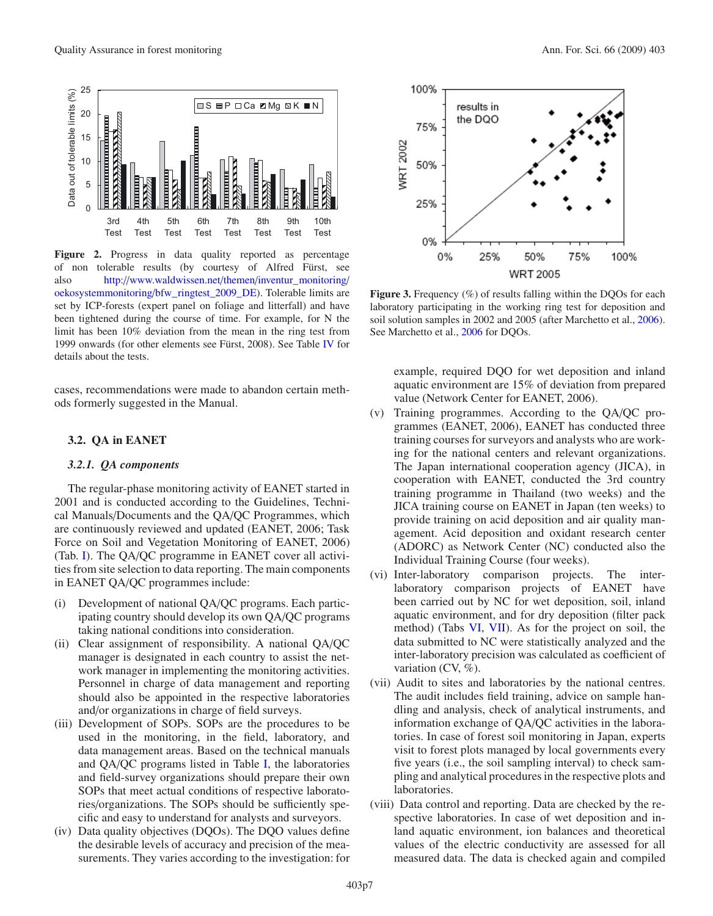<span id="page-6-0"></span>

**Figure 2.** Progress in data quality reported as percentage of non tolerable results (by courtesy of Alfred Fürst, see also http://[www.waldwissen.net](http://www.waldwissen.net/themen/inventur_monitoring/oekosystemmonitoring/bfw_ringtest_2009_DE)/themen/inventur\_monitoring/ oekosystemmonitoring/[bfw\\_ringtest\\_2009\\_DE\)](http://www.waldwissen.net/themen/inventur_monitoring/oekosystemmonitoring/bfw_ringtest_2009_DE). Tolerable limits are set by ICP-forests (expert panel on foliage and litterfall) and have been tightened during the course of time. For example, for N the limit has been 10% deviation from the mean in the ring test from 1999 onwards (for other elements see Fürst, 2008). See Table [IV](#page-5-1) for details about the tests.

cases, recommendations were made to abandon certain methods formerly suggested in the Manual.

# **3.2. QA in EANET**

## *3.2.1. QA components*

The regular-phase monitoring activity of EANET started in 2001 and is conducted according to the Guidelines, Technical Manuals/Documents and the QA/QC Programmes, which are continuously reviewed and updated (EANET, 2006; Task Force on Soil and Vegetation Monitoring of EANET, 2006) (Tab. [I\)](#page-3-0). The QA/QC programme in EANET cover all activities from site selection to data reporting. The main components in EANET QA/QC programmes include:

- (i) Development of national QA/QC programs. Each participating country should develop its own QA/QC programs taking national conditions into consideration.
- (ii) Clear assignment of responsibility. A national QA/QC manager is designated in each country to assist the network manager in implementing the monitoring activities. Personnel in charge of data management and reporting should also be appointed in the respective laboratories and/or organizations in charge of field surveys.
- (iii) Development of SOPs. SOPs are the procedures to be used in the monitoring, in the field, laboratory, and data management areas. Based on the technical manuals and QA/QC programs listed in Table [I,](#page-3-0) the laboratories and field-survey organizations should prepare their own SOPs that meet actual conditions of respective laboratories/organizations. The SOPs should be sufficiently specific and easy to understand for analysts and surveyors.
- (iv) Data quality objectives (DQOs). The DQO values define the desirable levels of accuracy and precision of the measurements. They varies according to the investigation: for

<span id="page-6-1"></span>

**Figure 3.** Frequency (%) of results falling within the DQOs for each laboratory participating in the working ring test for deposition and soil solution samples in 2002 and 2005 (after Marchetto et al., [2006](#page-11-20)). See Marchetto et al., [2006](#page-11-20) for DQOs.

example, required DQO for wet deposition and inland aquatic environment are 15% of deviation from prepared value (Network Center for EANET, 2006).

- (v) Training programmes. According to the QA/QC programmes (EANET, 2006), EANET has conducted three training courses for surveyors and analysts who are working for the national centers and relevant organizations. The Japan international cooperation agency (JICA), in cooperation with EANET, conducted the 3rd country training programme in Thailand (two weeks) and the JICA training course on EANET in Japan (ten weeks) to provide training on acid deposition and air quality management. Acid deposition and oxidant research center (ADORC) as Network Center (NC) conducted also the Individual Training Course (four weeks).
- (vi) Inter-laboratory comparison projects. The interlaboratory comparison projects of EANET have been carried out by NC for wet deposition, soil, inland aquatic environment, and for dry deposition (filter pack method) (Tabs [VI,](#page-7-1) [VII\)](#page-7-2). As for the project on soil, the data submitted to NC were statistically analyzed and the inter-laboratory precision was calculated as coefficient of variation  $(CV, \mathcal{C})$ .
- (vii) Audit to sites and laboratories by the national centres. The audit includes field training, advice on sample handling and analysis, check of analytical instruments, and information exchange of QA/QC activities in the laboratories. In case of forest soil monitoring in Japan, experts visit to forest plots managed by local governments every five years (i.e., the soil sampling interval) to check sampling and analytical procedures in the respective plots and laboratories.
- (viii) Data control and reporting. Data are checked by the respective laboratories. In case of wet deposition and inland aquatic environment, ion balances and theoretical values of the electric conductivity are assessed for all measured data. The data is checked again and compiled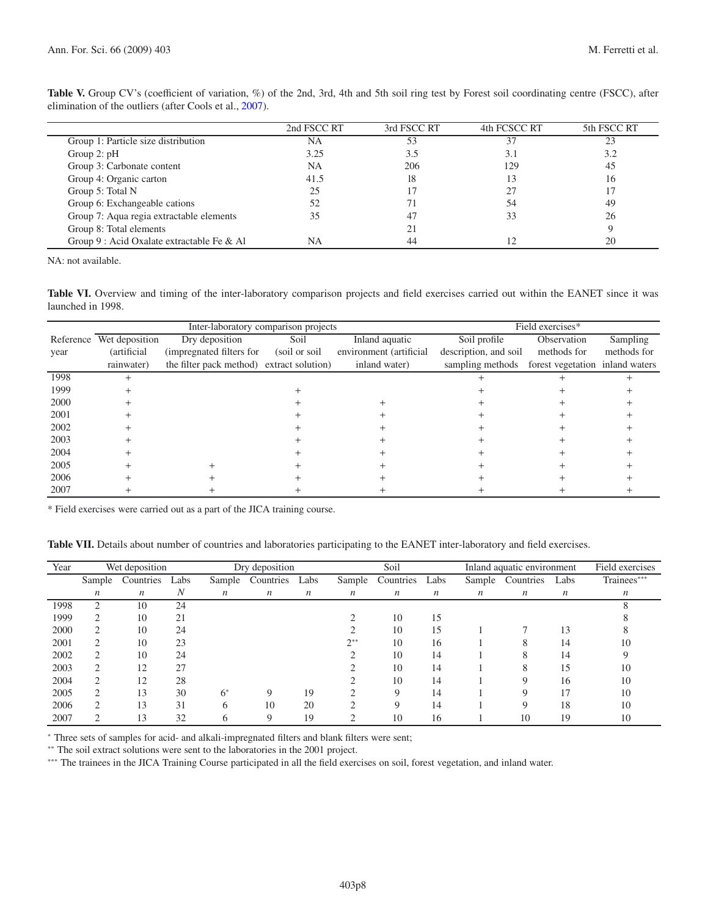<span id="page-7-1"></span>

|                                            | 2nd FSCC RT | 3rd FSCC RT | 4th FCSCC RT | 5th FSCC RT |
|--------------------------------------------|-------------|-------------|--------------|-------------|
| Group 1: Particle size distribution        | NA          | 53          |              |             |
| Group $2:$ $pH$                            | 3.25        | 3.5         |              | 3.2         |
| Group 3: Carbonate content                 | NA          | 206         | 129          | 45          |
| Group 4: Organic carton                    | 41.5        | 18          |              | 16          |
| Group 5: Total N                           | 25          |             |              |             |
| Group 6: Exchangeable cations              | 52          |             | .54          | 49          |
| Group 7: Aqua regia extractable elements   | 35          | 47          | 33           | 26          |
| Group 8: Total elements                    |             | 21          |              |             |
| Group 9 : Acid Oxalate extractable Fe & Al | NΑ          | 44          |              | 20          |

<span id="page-7-0"></span>Table V. Group CV's (coefficient of variation, %) of the 2nd, 3rd, 4th and 5th soil ring test by Forest soil coordinating centre (FSCC), after elimination of the outliers (after Cools et al., [2007](#page-10-17)).

NA: not available.

Table VI. Overview and timing of the inter-laboratory comparison projects and field exercises carried out within the EANET since it was launched in 1998.

<span id="page-7-2"></span>

|      |                          | Inter-laboratory comparison projects      |                | Field exercises*        |                       |                                 |             |  |
|------|--------------------------|-------------------------------------------|----------------|-------------------------|-----------------------|---------------------------------|-------------|--|
|      | Reference Wet deposition | Dry deposition                            | Soil           | Inland aquatic          | Soil profile          | Observation                     | Sampling    |  |
| year | (artificial              | (impregnated filters for                  | (soil or soil) | environment (artificial | description, and soil | methods for                     | methods for |  |
|      | rainwater)               | the filter pack method) extract solution) |                | inland water)           | sampling methods      | forest vegetation inland waters |             |  |
| 1998 |                          |                                           |                |                         |                       |                                 |             |  |
| 1999 |                          |                                           |                |                         |                       |                                 |             |  |
| 2000 |                          |                                           |                |                         |                       |                                 |             |  |
| 2001 |                          |                                           |                |                         |                       |                                 |             |  |
| 2002 |                          |                                           |                |                         |                       |                                 |             |  |
| 2003 |                          |                                           |                |                         |                       |                                 |             |  |
| 2004 |                          |                                           |                |                         |                       |                                 |             |  |
| 2005 |                          |                                           |                |                         |                       |                                 |             |  |
| 2006 |                          |                                           |                |                         |                       |                                 |             |  |
| 2007 |                          |                                           |                |                         |                       |                                 |             |  |

\* Field exercises were carried out as a part of the JICA training course.

**Table VII.** Details about number of countries and laboratories participating to the EANET inter-laboratory and field exercises.

| Year |                | Wet deposition   |      |                  | Dry deposition   |                  |        | Soil             |                  |                  | Inland aquatic environment |                  | Field exercises |
|------|----------------|------------------|------|------------------|------------------|------------------|--------|------------------|------------------|------------------|----------------------------|------------------|-----------------|
|      | Sample         | Countries        | Labs | Sample           | Countries        | Labs             | Sample | Countries        | Labs             | Sample           | Countries                  | Labs             | Trainees***     |
|      | n              | $\boldsymbol{n}$ | N    | $\boldsymbol{n}$ | $\boldsymbol{n}$ | $\boldsymbol{n}$ | п      | $\boldsymbol{n}$ | $\boldsymbol{n}$ | $\boldsymbol{n}$ | $\boldsymbol{n}$           | $\boldsymbol{n}$ | n               |
| 1998 |                | 10               | 24   |                  |                  |                  |        |                  |                  |                  |                            |                  |                 |
| 1999 | 2              | 10               | 21   |                  |                  |                  |        | 10               | 15               |                  |                            |                  |                 |
| 2000 | 2              | 10               | 24   |                  |                  |                  |        | 10               | 15               |                  |                            | 13               |                 |
| 2001 | 2              | 10               | 23   |                  |                  |                  | $2**$  | 10               | 16               |                  | 8                          | 14               | 10              |
| 2002 | 2              | 10               | 24   |                  |                  |                  |        | 10               | 14               |                  | 8                          | 14               |                 |
| 2003 | 2              | 12               | 27   |                  |                  |                  |        | 10               | 14               |                  | 8                          | 15               | 10              |
| 2004 | 2              | 12               | 28   |                  |                  |                  |        | 10               | 14               |                  | Q                          | 16               | 10              |
| 2005 | 2              | 13               | 30   | $6^*$            | 9                | 19               | ◠      | 9                | 14               |                  | 9                          | 17               | 10              |
| 2006 | $\overline{2}$ | 13               | 31   | $\theta$         | 10               | 20               | ◠      | 9                | 14               |                  | 9                          | 18               | 10              |
| 2007 |                | 13               | 32   | h                | 9                | 19               |        | 10               | 16               |                  | 10                         | 19               | 10              |

<sup>∗</sup> Three sets of samples for acid- and alkali-impregnated filters and blank filters were sent;

∗∗ The soil extract solutions were sent to the laboratories in the 2001 project.

∗∗∗ The trainees in the JICA Training Course participated in all the field exercises on soil, forest vegetation, and inland water.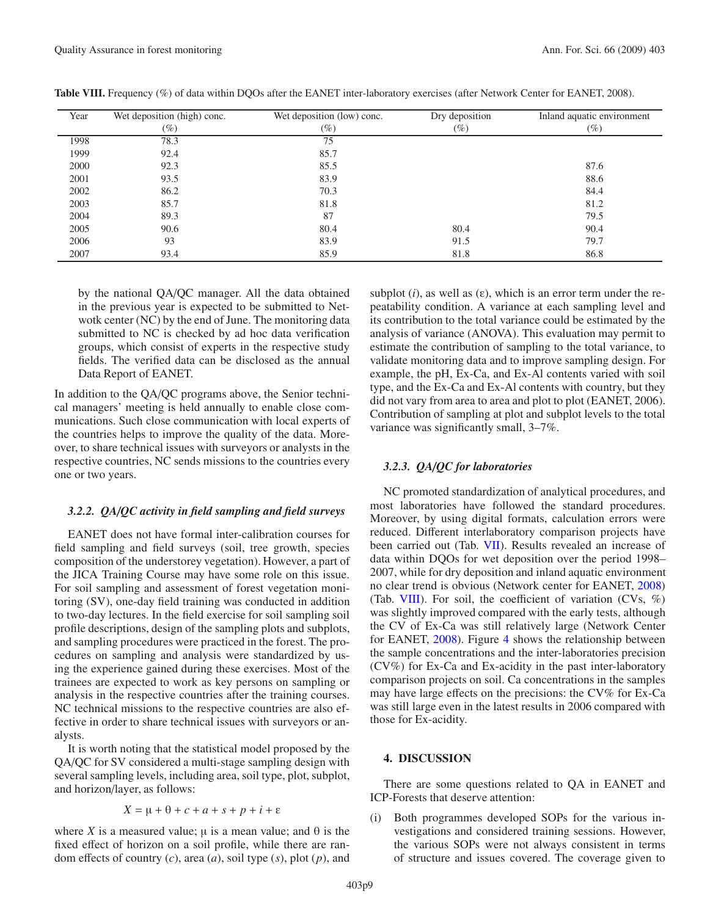| Year | Wet deposition (high) conc. | Wet deposition (low) conc. | Dry deposition | Inland aquatic environment |
|------|-----------------------------|----------------------------|----------------|----------------------------|
|      | $(\%)$                      | $(\%)$                     | $(\%)$         | $(\%)$                     |
| 1998 | 78.3                        | 75                         |                |                            |
| 1999 | 92.4                        | 85.7                       |                |                            |
| 2000 | 92.3                        | 85.5                       |                | 87.6                       |
| 2001 | 93.5                        | 83.9                       |                | 88.6                       |
| 2002 | 86.2                        | 70.3                       |                | 84.4                       |
| 2003 | 85.7                        | 81.8                       |                | 81.2                       |
| 2004 | 89.3                        | 87                         |                | 79.5                       |
| 2005 | 90.6                        | 80.4                       | 80.4           | 90.4                       |
| 2006 | 93                          | 83.9                       | 91.5           | 79.7                       |
| 2007 | 93.4                        | 85.9                       | 81.8           | 86.8                       |

<span id="page-8-0"></span>Table VIII. Frequency (%) of data within DQOs after the EANET inter-laboratory exercises (after Network Center for EANET, 2008).

by the national QA/QC manager. All the data obtained in the previous year is expected to be submitted to Netwotk center (NC) by the end of June. The monitoring data submitted to NC is checked by ad hoc data verification groups, which consist of experts in the respective study fields. The verified data can be disclosed as the annual Data Report of EANET.

In addition to the QA/QC programs above, the Senior technical managers' meeting is held annually to enable close communications. Such close communication with local experts of the countries helps to improve the quality of the data. Moreover, to share technical issues with surveyors or analysts in the respective countries, NC sends missions to the countries every one or two years.

## *3.2.2. QA*/*QC activity in field sampling and field surveys*

EANET does not have formal inter-calibration courses for field sampling and field surveys (soil, tree growth, species composition of the understorey vegetation). However, a part of the JICA Training Course may have some role on this issue. For soil sampling and assessment of forest vegetation monitoring (SV), one-day field training was conducted in addition to two-day lectures. In the field exercise for soil sampling soil profile descriptions, design of the sampling plots and subplots, and sampling procedures were practiced in the forest. The procedures on sampling and analysis were standardized by using the experience gained during these exercises. Most of the trainees are expected to work as key persons on sampling or analysis in the respective countries after the training courses. NC technical missions to the respective countries are also effective in order to share technical issues with surveyors or analysts.

It is worth noting that the statistical model proposed by the QA/QC for SV considered a multi-stage sampling design with several sampling levels, including area, soil type, plot, subplot, and horizon/layer, as follows:

$$
X = \mu + \theta + c + a + s + p + i + \varepsilon
$$

where *X* is a measured value;  $\mu$  is a mean value; and  $\theta$  is the fixed effect of horizon on a soil profile, while there are random effects of country (*c*), area (*a*), soil type (*s*), plot (*p*), and subplot  $(i)$ , as well as  $(\varepsilon)$ , which is an error term under the repeatability condition. A variance at each sampling level and its contribution to the total variance could be estimated by the analysis of variance (ANOVA). This evaluation may permit to estimate the contribution of sampling to the total variance, to validate monitoring data and to improve sampling design. For example, the pH, Ex-Ca, and Ex-Al contents varied with soil type, and the Ex-Ca and Ex-Al contents with country, but they did not vary from area to area and plot to plot (EANET, 2006). Contribution of sampling at plot and subplot levels to the total variance was significantly small, 3–7%.

#### *3.2.3. QA*/*QC for laboratories*

NC promoted standardization of analytical procedures, and most laboratories have followed the standard procedures. Moreover, by using digital formats, calculation errors were reduced. Different interlaboratory comparison projects have been carried out (Tab. [VII\)](#page-7-2). Results revealed an increase of data within DQOs for wet deposition over the period 1998– 2007, while for dry deposition and inland aquatic environment no clear trend is obvious (Network center for EANET, [2008\)](#page-10-19) (Tab. [VIII\)](#page-8-0). For soil, the coefficient of variation (CVs, %) was slightly improved compared with the early tests, although the CV of Ex-Ca was still relatively large (Network Center for EANET, [2008\)](#page-10-19). Figure [4](#page-9-0) shows the relationship between the sample concentrations and the inter-laboratories precision (CV%) for Ex-Ca and Ex-acidity in the past inter-laboratory comparison projects on soil. Ca concentrations in the samples may have large effects on the precisions: the CV% for Ex-Ca was still large even in the latest results in 2006 compared with those for Ex-acidity.

## **4. DISCUSSION**

There are some questions related to QA in EANET and ICP-Forests that deserve attention:

(i) Both programmes developed SOPs for the various investigations and considered training sessions. However, the various SOPs were not always consistent in terms of structure and issues covered. The coverage given to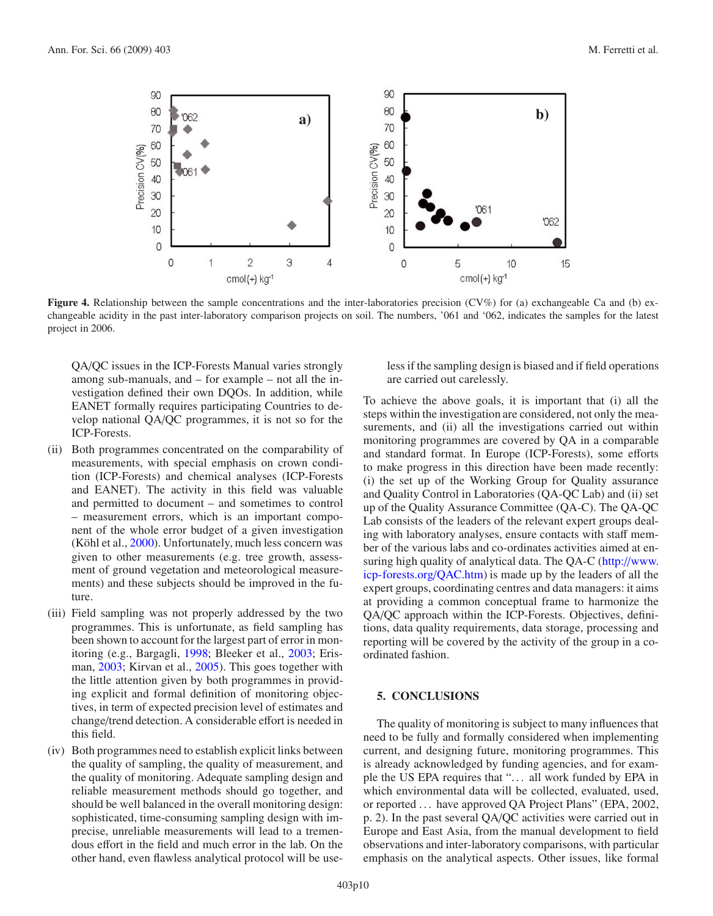<span id="page-9-0"></span>

**Figure 4.** Relationship between the sample concentrations and the inter-laboratories precision (CV%) for (a) exchangeable Ca and (b) exchangeable acidity in the past inter-laboratory comparison projects on soil. The numbers, '061 and '062, indicates the samples for the latest project in 2006.

QA/QC issues in the ICP-Forests Manual varies strongly among sub-manuals, and – for example – not all the investigation defined their own DQOs. In addition, while EANET formally requires participating Countries to develop national QA/QC programmes, it is not so for the ICP-Forests.

- (ii) Both programmes concentrated on the comparability of measurements, with special emphasis on crown condition (ICP-Forests) and chemical analyses (ICP-Forests and EANET). The activity in this field was valuable and permitted to document – and sometimes to control – measurement errors, which is an important component of the whole error budget of a given investigation (Köhl et al., [2000\)](#page-11-26). Unfortunately, much less concern was given to other measurements (e.g. tree growth, assessment of ground vegetation and meteorological measurements) and these subjects should be improved in the future.
- (iii) Field sampling was not properly addressed by the two programmes. This is unfortunate, as field sampling has been shown to account for the largest part of error in monitoring (e.g., Bargagli, [1998;](#page-10-20) Bleeker et al., [2003;](#page-10-11) Erisman, [2003](#page-10-12); Kirvan et al., [2005\)](#page-11-17). This goes together with the little attention given by both programmes in providing explicit and formal definition of monitoring objectives, in term of expected precision level of estimates and change/trend detection. A considerable effort is needed in this field.
- (iv) Both programmes need to establish explicit links between the quality of sampling, the quality of measurement, and the quality of monitoring. Adequate sampling design and reliable measurement methods should go together, and should be well balanced in the overall monitoring design: sophisticated, time-consuming sampling design with imprecise, unreliable measurements will lead to a tremendous effort in the field and much error in the lab. On the other hand, even flawless analytical protocol will be use-

less if the sampling design is biased and if field operations are carried out carelessly.

To achieve the above goals, it is important that (i) all the steps within the investigation are considered, not only the measurements, and (ii) all the investigations carried out within monitoring programmes are covered by QA in a comparable and standard format. In Europe (ICP-Forests), some efforts to make progress in this direction have been made recently: (i) the set up of the Working Group for Quality assurance and Quality Control in Laboratories (QA-QC Lab) and (ii) set up of the Quality Assurance Committee (QA-C). The QA-QC Lab consists of the leaders of the relevant expert groups dealing with laboratory analyses, ensure contacts with staff member of the various labs and co-ordinates activities aimed at ensuring high quality of analytical data. The QA-C (http://[www.](http://www.icp-forests.org/QAC.htm) [icp-forests.org](http://www.icp-forests.org/QAC.htm)/QAC.htm) is made up by the leaders of all the expert groups, coordinating centres and data managers: it aims at providing a common conceptual frame to harmonize the QA/QC approach within the ICP-Forests. Objectives, definitions, data quality requirements, data storage, processing and reporting will be covered by the activity of the group in a coordinated fashion.

## **5. CONCLUSIONS**

The quality of monitoring is subject to many influences that need to be fully and formally considered when implementing current, and designing future, monitoring programmes. This is already acknowledged by funding agencies, and for example the US EPA requires that "... all work funded by EPA in which environmental data will be collected, evaluated, used, or reported . . . have approved QA Project Plans" (EPA, 2002, p. 2). In the past several QA/QC activities were carried out in Europe and East Asia, from the manual development to field observations and inter-laboratory comparisons, with particular emphasis on the analytical aspects. Other issues, like formal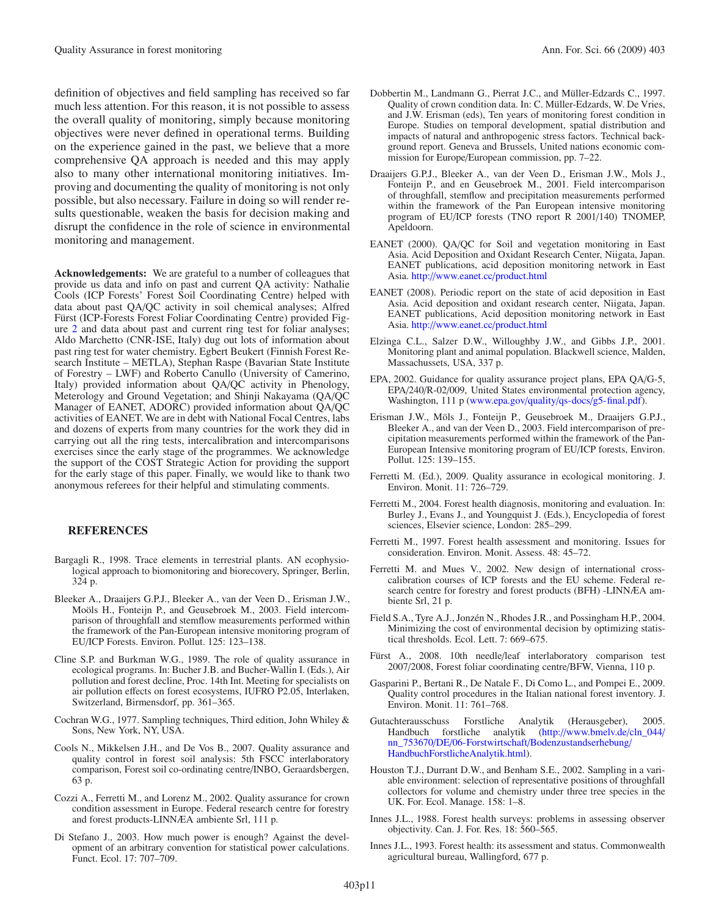definition of objectives and field sampling has received so far much less attention. For this reason, it is not possible to assess the overall quality of monitoring, simply because monitoring objectives were never defined in operational terms. Building on the experience gained in the past, we believe that a more comprehensive QA approach is needed and this may apply also to many other international monitoring initiatives. Improving and documenting the quality of monitoring is not only possible, but also necessary. Failure in doing so will render results questionable, weaken the basis for decision making and disrupt the confidence in the role of science in environmental monitoring and management.

**Acknowledgements:** We are grateful to a number of colleagues that provide us data and info on past and current QA activity: Nathalie Cools (ICP Forests' Forest Soil Coordinating Centre) helped with data about past QA/QC activity in soil chemical analyses; Alfred Fürst (ICP-Forests Forest Foliar Coordinating Centre) provided Figure [2](#page-6-0) and data about past and current ring test for foliar analyses; Aldo Marchetto (CNR-ISE, Italy) dug out lots of information about past ring test for water chemistry. Egbert Beukert (Finnish Forest Research Institute – METLA), Stephan Raspe (Bavarian State Institute of Forestry – LWF) and Roberto Canullo (University of Camerino, Italy) provided information about QA/QC activity in Phenology, Meterology and Ground Vegetation; and Shinji Nakayama (QA/QC Manager of EANET, ADORC) provided information about QA/QC activities of EANET. We are in debt with National Focal Centres, labs and dozens of experts from many countries for the work they did in carrying out all the ring tests, intercalibration and intercomparisons exercises since the early stage of the programmes. We acknowledge the support of the COST Strategic Action for providing the support for the early stage of this paper. Finally, we would like to thank two anonymous referees for their helpful and stimulating comments.

## **REFERENCES**

- <span id="page-10-20"></span>Bargagli R., 1998. Trace elements in terrestrial plants. AN ecophysiological approach to biomonitoring and biorecovery, Springer, Berlin, 324 p.
- <span id="page-10-11"></span>Bleeker A., Draaijers G.P.J., Bleeker A., van der Veen D., Erisman J.W., Moöls H., Fonteijn P., and Geusebroek M., 2003. Field intercomparison of throughfall and stemflow measurements performed within the framework of the Pan-European intensive monitoring program of EU/ICP Forests. Environ. Pollut. 125: 123–138.
- <span id="page-10-5"></span>Cline S.P. and Burkman W.G., 1989. The role of quality assurance in ecological programs. In: Bucher J.B. and Bucher-Wallin I. (Eds.), Air pollution and forest decline, Proc. 14th Int. Meeting for specialists on air pollution effects on forest ecosystems, IUFRO P2.05, Interlaken, Switzerland, Birmensdorf, pp. 361–365.
- <span id="page-10-7"></span>Cochran W.G., 1977. Sampling techniques, Third edition, John Whiley & Sons, New York, NY, USA.
- <span id="page-10-17"></span>Cools N., Mikkelsen J.H., and De Vos B., 2007. Quality assurance and quality control in forest soil analysis: 5th FSCC interlaboratory comparison, Forest soil co-ordinating centre/INBO, Geraardsbergen, 63 p.
- <span id="page-10-4"></span>Cozzi A., Ferretti M., and Lorenz M., 2002. Quality assurance for crown condition assessment in Europe. Federal research centre for forestry and forest products-LINNÆA ambiente Srl, 111 p.
- <span id="page-10-8"></span>Di Stefano J., 2003. How much power is enough? Against the development of an arbitrary convention for statistical power calculations. Funct. Ecol. 17: 707–709.
- <span id="page-10-14"></span>Dobbertin M., Landmann G., Pierrat J.C., and Müller-Edzards C., 1997. Quality of crown condition data. In: C. Müller-Edzards, W. De Vries, and J.W. Erisman (eds), Ten years of monitoring forest condition in Europe. Studies on temporal development, spatial distribution and impacts of natural and anthropogenic stress factors. Technical background report. Geneva and Brussels, United nations economic commission for Europe/European commission, pp. 7–22.
- <span id="page-10-10"></span>Draaijers G.P.J., Bleeker A., van der Veen D., Erisman J.W., Mols J., Fonteijn P., and en Geusebroek M., 2001. Field intercomparison of throughfall, stemflow and precipitation measurements performed within the framework of the Pan European intensive monitoring program of EU/ICP forests (TNO report R 2001/140) TNOMEP, Apeldoorn.
- EANET (2000). QA/QC for Soil and vegetation monitoring in East Asia. Acid Deposition and Oxidant Research Center, Niigata, Japan. EANET publications, acid deposition monitoring network in East Asia. http://[www.eanet.cc](http://www.eanet.cc/product.html)/product.html
- <span id="page-10-19"></span>EANET (2008). Periodic report on the state of acid deposition in East Asia. Acid deposition and oxidant research center, Niigata, Japan. EANET publications, Acid deposition monitoring network in East Asia. http://[www.eanet.cc](http://www.eanet.cc/product.html)/product.html
- <span id="page-10-2"></span>Elzinga C.L., Salzer D.W., Willoughby J.W., and Gibbs J.P., 2001. Monitoring plant and animal population. Blackwell science, Malden, Massachussets, USA, 337 p.
- EPA, 2002. Guidance for quality assurance project plans, EPA QA/G-5, EPA/240/R-02/009, United States environmental protection agency, Washington, 111 p [\(www.epa.gov](www.epa.gov/quality/qs-docs/g5-final.pdf)/quality/qs-docs/g5-final.pdf).
- <span id="page-10-12"></span>Erisman J.W., Möls J., Fonteijn P., Geusebroek M., Draaijers G.P.J., Bleeker A., and van der Veen D., 2003. Field intercomparison of precipitation measurements performed within the framework of the Pan-European Intensive monitoring program of EU/ICP forests, Environ. Pollut. 125: 139–155.
- <span id="page-10-3"></span>Ferretti M. (Ed.), 2009. Quality assurance in ecological monitoring. J. Environ. Monit. 11: 726–729.
- <span id="page-10-1"></span>Ferretti M., 2004. Forest health diagnosis, monitoring and evaluation. In: Burley J., Evans J., and Youngquist J. (Eds.), Encyclopedia of forest sciences, Elsevier science, London: 285–299.
- <span id="page-10-0"></span>Ferretti M., 1997. Forest health assessment and monitoring. Issues for consideration. Environ. Monit. Assess. 48: 45–72.
- <span id="page-10-16"></span>Ferretti M. and Mues V., 2002. New design of international crosscalibration courses of ICP forests and the EU scheme. Federal research centre for forestry and forest products (BFH) -LINNÆA ambiente Srl, 21 p.
- <span id="page-10-9"></span>Field S.A., Tyre A.J., Jonzén N., Rhodes J.R., and Possingham H.P., 2004. Minimizing the cost of environmental decision by optimizing statistical thresholds. Ecol. Lett. 7: 669–675.
- <span id="page-10-18"></span>Fürst A., 2008. 10th needle/leaf interlaboratory comparison test 2007/2008, Forest foliar coordinating centre/BFW, Vienna, 110 p.
- Gasparini P., Bertani R., De Natale F., Di Como L., and Pompei E., 2009. Quality control procedures in the Italian national forest inventory. J. Environ. Monit. 11: 761–768.
- Gutachterausschuss Forstliche Analytik (Herausgeber), 2005. Handbuch forstliche analytik (http://[www.bmelv.de](http://www.bmelv.de/cln_044/nn_753670/DE/06-Forstwirtschaft/Bodenzustandserhebung/HandbuchForstlicheAnalytik.html)/cln\_044/ nn\_753670/DE/06-Forstwirtschaft/[Bodenzustandserhebung](http://www.bmelv.de/cln_044/nn_753670/DE/06-Forstwirtschaft/Bodenzustandserhebung/HandbuchForstlicheAnalytik.html)/ [HandbuchForstlicheAnalytik.html\)](http://www.bmelv.de/cln_044/nn_753670/DE/06-Forstwirtschaft/Bodenzustandserhebung/HandbuchForstlicheAnalytik.html).
- <span id="page-10-13"></span>Houston T.J., Durrant D.W., and Benham S.E., 2002. Sampling in a variable environment: selection of representative positions of throughfall collectors for volume and chemistry under three tree species in the UK. For. Ecol. Manage. 158: 1–8.
- <span id="page-10-15"></span>Innes J.L., 1988. Forest health surveys: problems in assessing observer objectivity. Can. J. For. Res. 18: 560–565.
- <span id="page-10-6"></span>Innes J.L., 1993. Forest health: its assessment and status. Commonwealth agricultural bureau, Wallingford, 677 p.